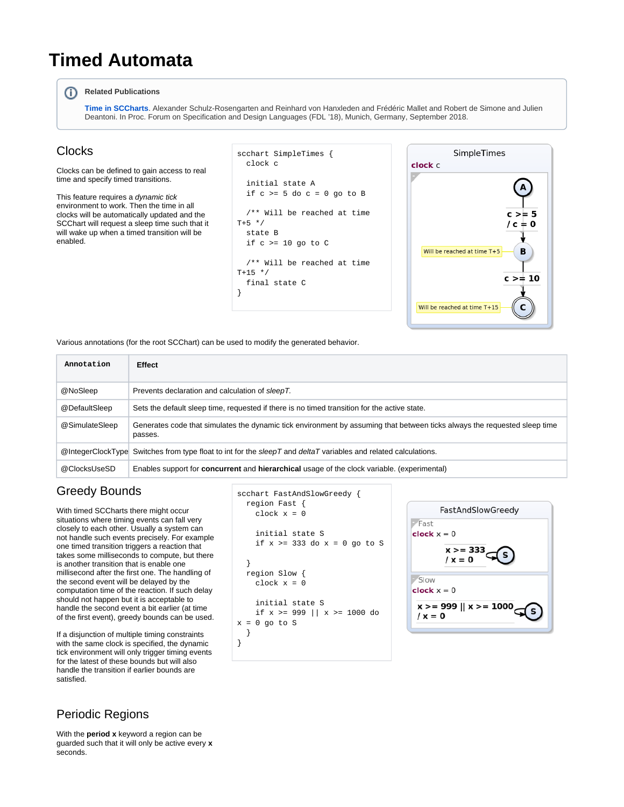# **Timed Automata**

#### ന **Related Publications**

**[Time in SCCharts](https://rtsys.informatik.uni-kiel.de/~biblio/downloads/papers/fdl18.pdf)**. Alexander Schulz-Rosengarten and Reinhard von Hanxleden and Frédéric Mallet and Robert de Simone and Julien Deantoni. In Proc. Forum on Specification and Design Languages (FDL '18), Munich, Germany, September 2018.

#### **Clocks**

Clocks can be defined to gain access to real time and specify timed transitions.

This feature requires a dynamic tick environment to work. Then the time in all clocks will be automatically updated and the SCChart will request a sleep time such that it will wake up when a timed transition will be enabled.

```
scchart SimpleTimes {
   clock c
   initial state A
  if c > = 5 do c = 0 go to B
   /** Will be reached at time 
T+5 */
   state B
   if c >= 10 go to C
   /** Will be reached at time 
T+15 */
   final state C
}
```


Various annotations (for the root SCChart) can be used to modify the generated behavior.

| Annotation     | <b>Effect</b>                                                                                                                        |
|----------------|--------------------------------------------------------------------------------------------------------------------------------------|
| @NoSleep       | Prevents declaration and calculation of sleepT.                                                                                      |
| @DefaultSleep  | Sets the default sleep time, requested if there is no timed transition for the active state.                                         |
| @SimulateSleep | Generates code that simulates the dynamic tick environment by assuming that between ticks always the requested sleep time<br>passes. |
|                | $@$ IntegerClockType Switches from type float to int for the sleepT and deltaT variables and related calculations.                   |
| @ClocksUseSD   | Enables support for <b>concurrent</b> and <b>hierarchical</b> usage of the clock variable. (experimental)                            |

### Greedy Bounds

With timed SCCharts there might occur situations where timing events can fall very closely to each other. Usually a system can not handle such events precisely. For example one timed transition triggers a reaction that takes some milliseconds to compute, but there is another transition that is enable one millisecond after the first one. The handling of the second event will be delayed by the computation time of the reaction. If such delay should not happen but it is acceptable to handle the second event a bit earlier (at time of the first event), greedy bounds can be used.

If a disjunction of multiple timing constraints with the same clock is specified, the dynamic tick environment will only trigger timing events for the latest of these bounds but will also handle the transition if earlier bounds are satisfied.

```
scchart FastAndSlowGreedy {
  region Fast {
    clock x = 0 initial state S
    if x >= 333 do x = 0 go to S
   }
  region Slow {
    clock x = 0 initial state S
     if x >= 999 || x >= 1000 do 
x = 0 go to S
   }
}
```


#### Periodic Regions

With the **period x** keyword a region can be guarded such that it will only be active every **x**  seconds.